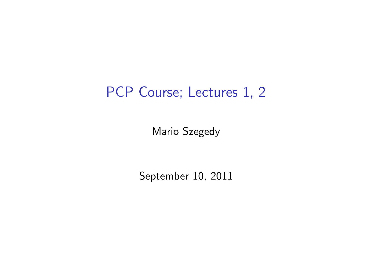## PCP Course; Lectures 1, 2

Mario Szegedy

September 10, 2011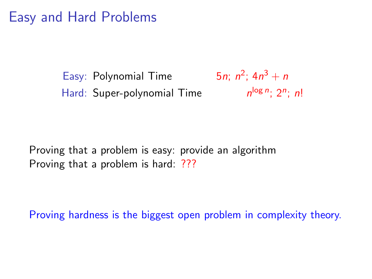## Easy and Hard Problems

Easy: Polynomial Time <sup>2</sup>;  $4n^3 + n$ Hard: Super-polynomial Time  $\log n$ ; 2n; n!

Proving that a problem is easy: provide an algorithm Proving that a problem is hard: ???

Proving hardness is the biggest open problem in complexity theory.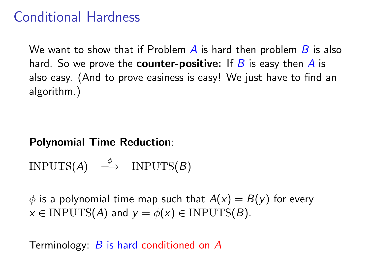### Conditional Hardness

We want to show that if Problem  $\vec{A}$  is hard then problem  $\vec{B}$  is also hard. So we prove the **counter-positive:** If  $B$  is easy then  $A$  is also easy. (And to prove easiness is easy! We just have to find an algorithm.)

#### Polynomial Time Reduction:

$$
INPUTS(A) \stackrel{\phi}{\longrightarrow} INPUTS(B)
$$

 $\phi$  is a polynomial time map such that  $A(x) = B(y)$  for every  $x \in \text{INPUTS}(A)$  and  $y = \phi(x) \in \text{INPUTS}(B)$ .

Terminology: B is hard conditioned on A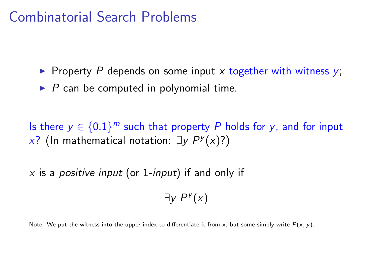### Combinatorial Search Problems

- Property P depends on some input x together with witness  $y$ ;
- $\triangleright$  P can be computed in polynomial time.

Is there  $y \in \{0.1\}^m$  such that property P holds for y, and for input  $x$ ? (In mathematical notation: ∃y  $P<sup>y</sup>(x)$ ?)

 $x$  is a *positive input* (or 1-input) if and only if

 $\exists y P^y(x)$ 

Note: We put the witness into the upper index to differentiate it from x, but some simply write  $P(x, y)$ .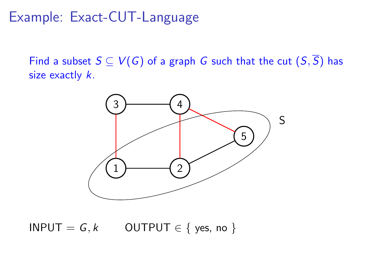#### Example: Exact-CUT-Language

Find a subset  $S \subseteq V(G)$  of a graph G such that the cut  $(S,\overline{S})$  has size exactly  $k$ .



 $INPUT = G, k$  OUTPUT  $\in \{$  yes, no  $\}$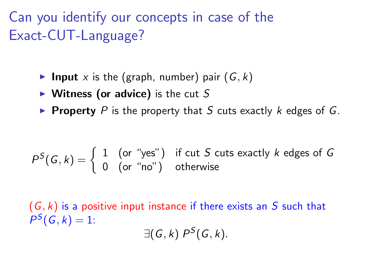Can you identify our concepts in case of the Exact-CUT-Language?

- **Input** x is the (graph, number) pair  $(G, k)$
- $\triangleright$  Witness (or advice) is the cut S
- Property P is the property that S cuts exactly  $k$  edges of  $G$ .

$$
P^{S}(G,k) = \begin{cases} 1 & \text{(or "yes")} \\ 0 & \text{(or "no")} \end{cases} \text{ if cut } S \text{ cuts exactly } k \text{ edges of } G
$$

 $(G, k)$  is a positive input instance if there exists an S such that  $P^{S}(G, k) = 1$ :  $\exists (G, k) P^S(G, k).$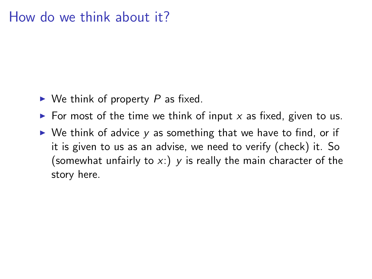#### How do we think about it?

- $\triangleright$  We think of property P as fixed.
- $\triangleright$  For most of the time we think of input x as fixed, given to us.
- $\triangleright$  We think of advice y as something that we have to find, or if it is given to us as an advise, we need to verify (check) it. So (somewhat unfairly to  $x$ .) y is really the main character of the story here.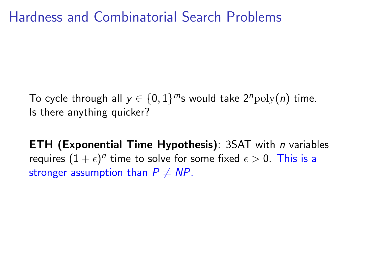## Hardness and Combinatorial Search Problems

To cycle through all  $y \in \{0,1\}^m$ s would take  $2^n \text{poly}(n)$  time. Is there anything quicker?

**ETH (Exponential Time Hypothesis)**: 3SAT with *n* variables requires  $(1+\epsilon)^n$  time to solve for some fixed  $\epsilon > 0$ . This is a stronger assumption than  $P \neq NP$ .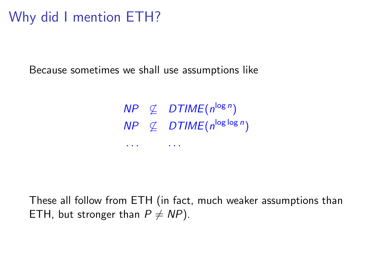## Why did I mention ETH?

Because sometimes we shall use assumptions like

 $\textit{NP} \not\subseteq \textit{DTIME}(n^{\log n})$  $\textit{NP} \ \not\subseteq \ \textit{DTIME}(n^{\log \log n})$ . . . . . .

These all follow from ETH (in fact, much weaker assumptions than ETH, but stronger than  $P \neq NP$ ).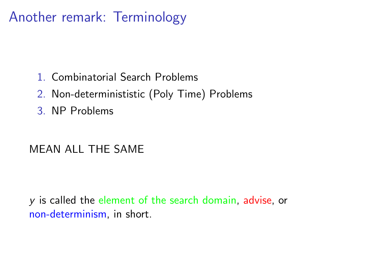## Another remark: Terminology

- 1. Combinatorial Search Problems
- 2. Non-determinististic (Poly Time) Problems
- 3. NP Problems

#### MEAN ALL THE SAME

y is called the element of the search domain, advise, or non-determinism, in short.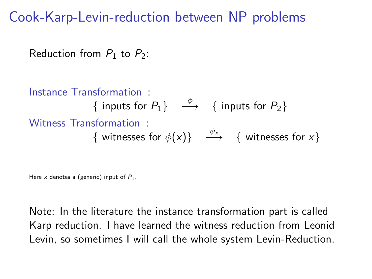Cook-Karp-Levin-reduction between NP problems

Reduction from  $P_1$  to  $P_2$ :

Instance Transformation :  $\{$  inputs for  $P_1\}$   $\quadstackrel{\phi}{\longrightarrow}$   $\{$  inputs for  $P_2\}$ Witness Transformation :  $\{$  witnesses for  $\phi(x)\}$   $\stackrel{\psi_x}\longrightarrow$   $\{$  witnesses for  $x\}$ 

Here x denotes a (generic) input of  $P_1$ .

Note: In the literature the instance transformation part is called Karp reduction. I have learned the witness reduction from Leonid Levin, so sometimes I will call the whole system Levin-Reduction.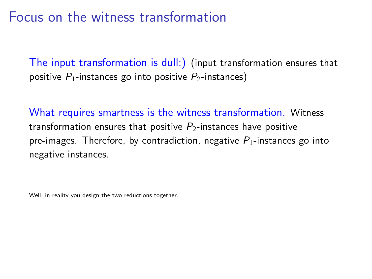#### Focus on the witness transformation

The input transformation is dull:) (input transformation ensures that positive  $P_1$ -instances go into positive  $P_2$ -instances)

What requires smartness is the witness transformation. Witness transformation ensures that positive  $P_2$ -instances have positive pre-images. Therefore, by contradiction, negative  $P_1$ -instances go into negative instances.

Well, in reality you design the two reductions together.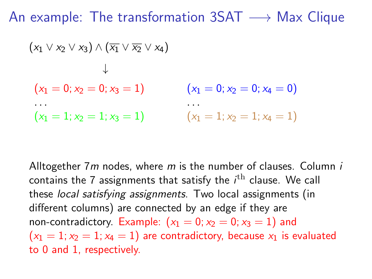An example: The transformation  $3SAT \rightarrow Max$  Clique

$$
(x_1 \lor x_2 \lor x_3) \land (\overline{x_1} \lor \overline{x_2} \lor x_4)
$$
  
\n $\downarrow$   
\n $(x_1 = 0; x_2 = 0; x_3 = 1)$   $(x_1 = 0; x_2 = 0; x_4 = 0)$   
\n $(x_1 = 1; x_2 = 1; x_3 = 1)$   $(x_1 = 1; x_2 = 1; x_4 = 1)$ 

Alltogether  $7m$  nodes, where  $m$  is the number of clauses. Column  $i$ contains the 7 assignments that satisfy the  $i^{\rm th}$  clause. We call these local satisfying assignments. Two local assignments (in different columns) are connected by an edge if they are non-contradictory. Example:  $(x_1 = 0; x_2 = 0; x_3 = 1)$  and  $(x_1 = 1; x_2 = 1; x_4 = 1)$  are contradictory, because  $x_1$  is evaluated to 0 and 1, respectively.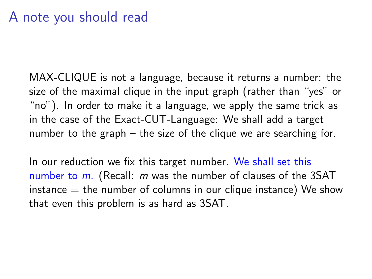#### A note you should read

MAX-CLIQUE is not a language, because it returns a number: the size of the maximal clique in the input graph (rather than "yes" or "no"). In order to make it a language, we apply the same trick as in the case of the Exact-CUT-Language: We shall add a target number to the graph – the size of the clique we are searching for.

In our reduction we fix this target number. We shall set this number to  $m$ . (Recall:  $m$  was the number of clauses of the 3SAT  $instance = the number of columns in our clique instance) We show$ that even this problem is as hard as 3SAT.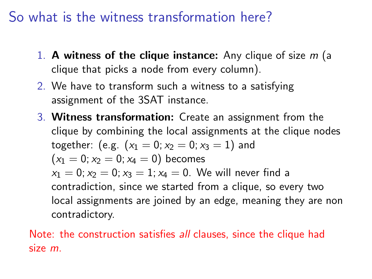## So what is the witness transformation here?

- 1. A witness of the clique instance: Any clique of size  $m$  (a clique that picks a node from every column).
- 2. We have to transform such a witness to a satisfying assignment of the 3SAT instance.
- 3. Witness transformation: Create an assignment from the clique by combining the local assignments at the clique nodes together: (e.g.  $(x_1 = 0; x_2 = 0; x_3 = 1)$  and  $(x_1 = 0; x_2 = 0; x_4 = 0)$  becomes  $x_1 = 0$ ;  $x_2 = 0$ ;  $x_3 = 1$ ;  $x_4 = 0$ . We will never find a contradiction, since we started from a clique, so every two local assignments are joined by an edge, meaning they are non contradictory.

Note: the construction satisfies all clauses, since the clique had size m.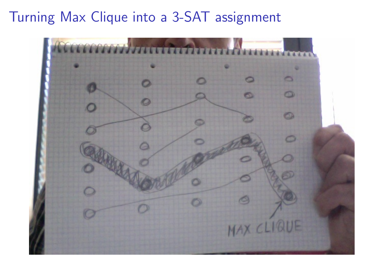## Turning Max Clique into a 3-SAT assignment

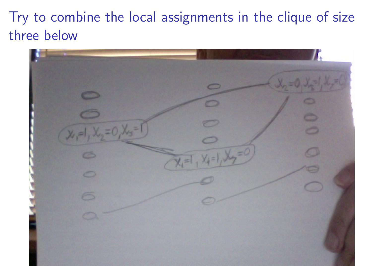Try to combine the local assignments in the clique of size three below

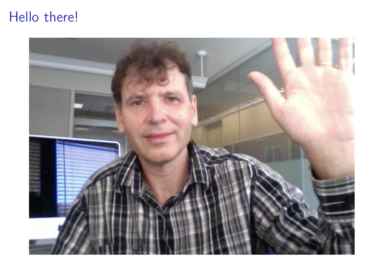# Hello there!

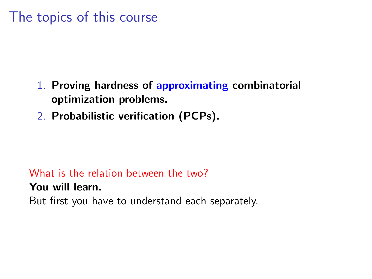## The topics of this course

- 1. Proving hardness of approximating combinatorial optimization problems.
- 2. Probabilistic verification (PCPs).

#### What is the relation between the two?

You will learn.

But first you have to understand each separately.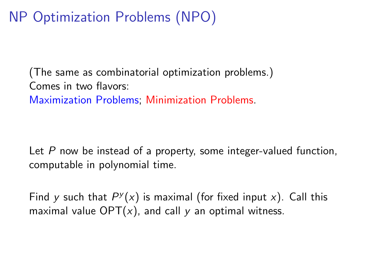# NP Optimization Problems (NPO)

(The same as combinatorial optimization problems.) Comes in two flavors: Maximization Problems; Minimization Problems.

Let  $P$  now be instead of a property, some integer-valued function, computable in polynomial time.

Find y such that  $P<sup>y</sup>(x)$  is maximal (for fixed input x). Call this maximal value  $OPT(x)$ , and call y an optimal witness.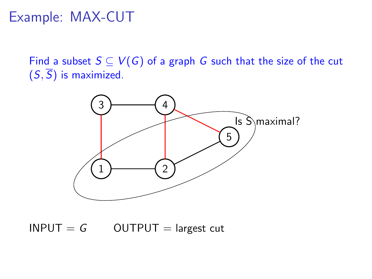### Example: MAX-CUT

Find a subset  $S \subseteq V(G)$  of a graph G such that the size of the cut  $(S,\overline{S})$  is maximized.



 $INPUT = G$  OUTPUT = largest cut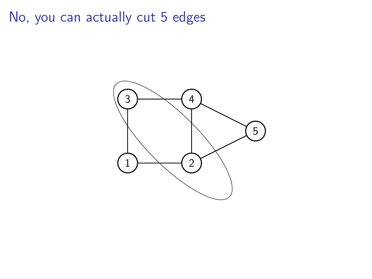No, you can actually cut 5 edges

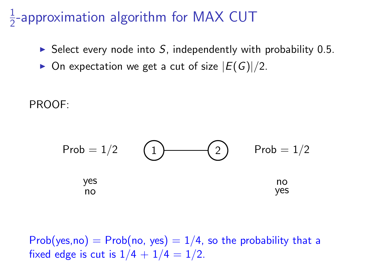#### $\overline{1}$  $\frac{1}{2}$ -approximation algorithm for MAX CUT

- $\triangleright$  Select every node into S, independently with probability 0.5.
- $\triangleright$  On expectation we get a cut of size  $|E(G)|/2$ .

PROOF:



Prob(yes,no) = Prob(no, yes) =  $1/4$ , so the probability that a fixed edge is cut is  $1/4 + 1/4 = 1/2$ .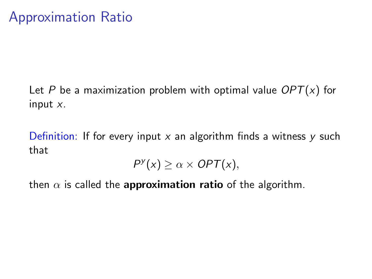Let P be a maximization problem with optimal value  $OPT(x)$  for input x.

Definition: If for every input x an algorithm finds a witness y such that

 $P^{y}(x) \geq \alpha \times OPT(x),$ 

then  $\alpha$  is called the **approximation ratio** of the algorithm.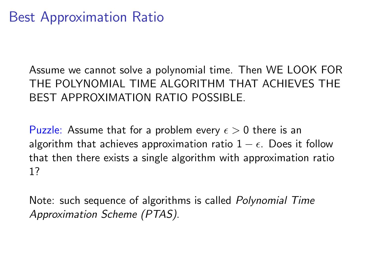Assume we cannot solve a polynomial time. Then WE LOOK FOR THE POLYNOMIAL TIME ALGORITHM THAT ACHIEVES THE BEST APPROXIMATION RATIO POSSIBLE.

Puzzle: Assume that for a problem every  $\epsilon > 0$  there is an algorithm that achieves approximation ratio  $1 - \epsilon$ . Does it follow that then there exists a single algorithm with approximation ratio 1?

Note: such sequence of algorithms is called Polynomial Time Approximation Scheme (PTAS).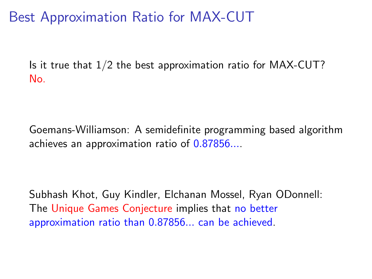Best Approximation Ratio for MAX-CUT

Is it true that  $1/2$  the best approximation ratio for MAX-CUT? No.

Goemans-Williamson: A semidefinite programming based algorithm achieves an approximation ratio of 0.87856....

Subhash Khot, Guy Kindler, Elchanan Mossel, Ryan ODonnell: The Unique Games Conjecture implies that no better approximation ratio than 0.87856... can be achieved.